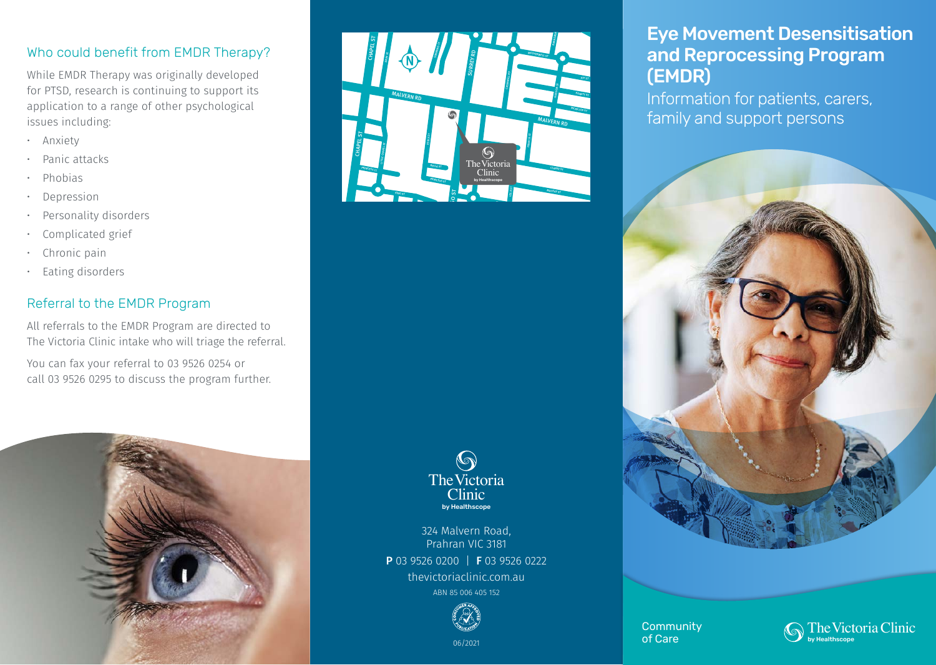### Who could benefit from EMDR Therapy?

While EMDR Therapy was originally developed for PTSD, research is continuing to support its application to a range of other psychological issues including:

- Anxiety
- Panic attacks
- Phobias
- **Depression**
- Personality disorders
- Complicated grief
- Chronic pain
- Eating disorders

## Referral to the EMDR Program

All referrals to the EMDR Program are directed to The Victoria Clinic intake who will triage the referral.

You can fax your referral to 03 9526 0254 or call 03 9526 0295 to discuss the program further.





#### $\bigcirc$ The Victoria **Clinic** by Healthscope

324 Malvern Road, Prahran VIC 3181 P 03 9526 0200 | F 03 9526 0222 thevictoriaclinic.com.au ABN 85 006 405 152



06/2021

# Eye Movement Desensitisation and Reprocessing Program (EMDR)

Information for patients, carers, family and support persons



**Community** of Care